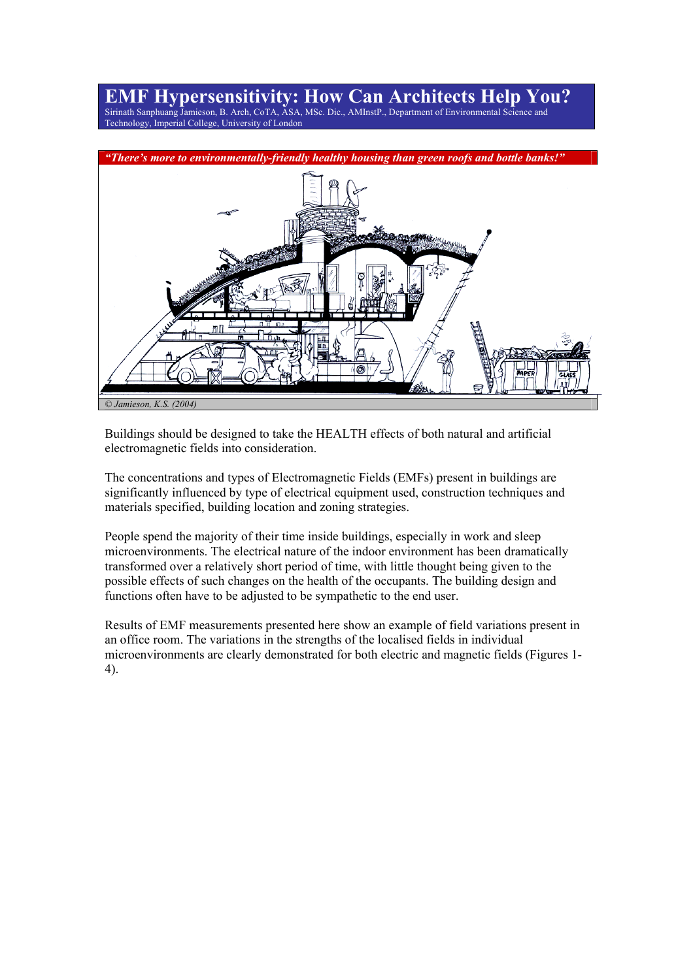# **EMF Hypersensitivity: How Can Architects Help You?**

Sirinath Sanphuang Jamieson, B. Arch, CoTA, ASA, MSc. Dic., AMInstP., Department of Environmental Science and Technology, Imperial College, University of London



Buildings should be designed to take the HEALTH effects of both natural and artificial electromagnetic fields into consideration.

The concentrations and types of Electromagnetic Fields (EMFs) present in buildings are significantly influenced by type of electrical equipment used, construction techniques and materials specified, building location and zoning strategies.

People spend the majority of their time inside buildings, especially in work and sleep microenvironments. The electrical nature of the indoor environment has been dramatically transformed over a relatively short period of time, with little thought being given to the possible effects of such changes on the health of the occupants. The building design and functions often have to be adjusted to be sympathetic to the end user.

Results of EMF measurements presented here show an example of field variations present in an office room. The variations in the strengths of the localised fields in individual microenvironments are clearly demonstrated for both electric and magnetic fields (Figures 1- 4).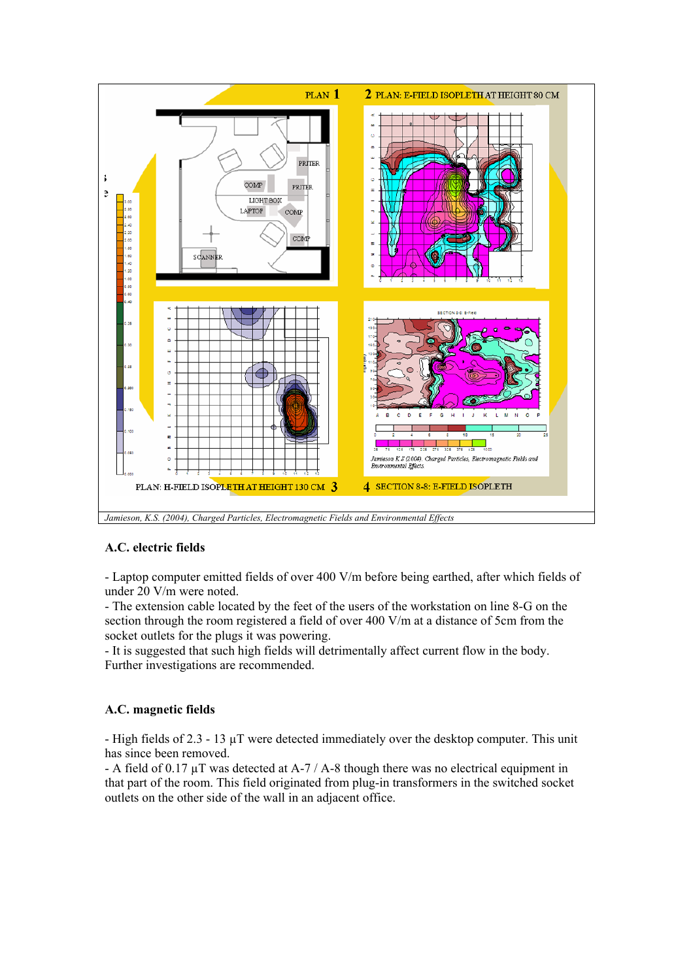

*Jamieson, K.S. (2004), Charged Particles, Electromagnetic Fields and Environmental Effects* 

#### **A.C. electric fields**

- Laptop computer emitted fields of over 400 V/m before being earthed, after which fields of under 20 V/m were noted.

- The extension cable located by the feet of the users of the workstation on line 8-G on the section through the room registered a field of over 400 V/m at a distance of 5cm from the socket outlets for the plugs it was powering.

- It is suggested that such high fields will detrimentally affect current flow in the body. Further investigations are recommended.

#### **A.C. magnetic fields**

- High fields of 2.3 - 13 µT were detected immediately over the desktop computer. This unit has since been removed.

- A field of 0.17 µT was detected at A-7 / A-8 though there was no electrical equipment in that part of the room. This field originated from plug-in transformers in the switched socket outlets on the other side of the wall in an adjacent office.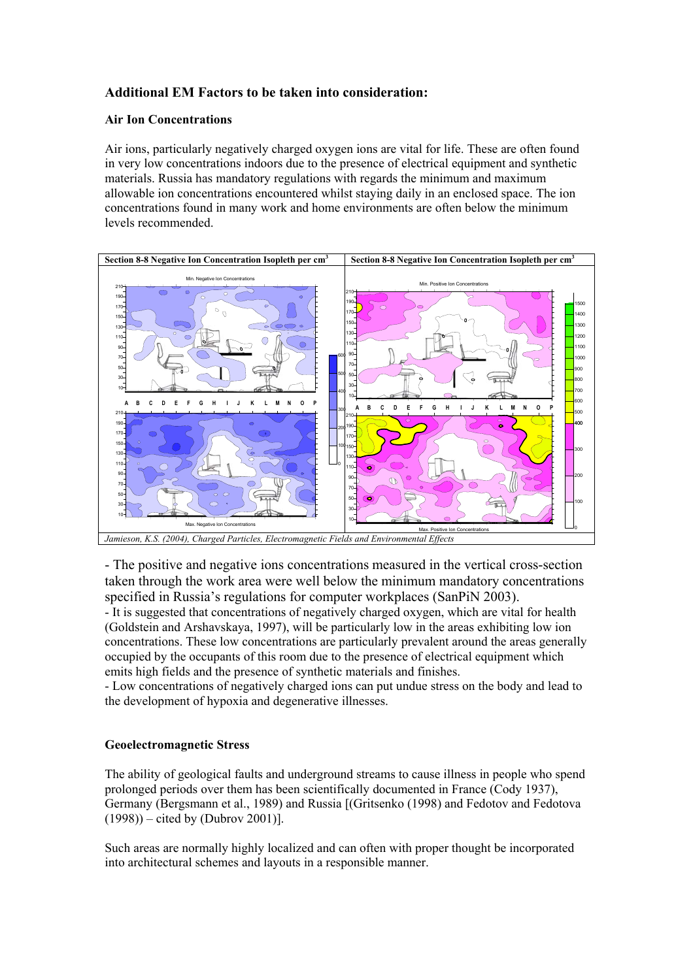### **Additional EM Factors to be taken into consideration:**

#### **Air Ion Concentrations**

Air ions, particularly negatively charged oxygen ions are vital for life. These are often found in very low concentrations indoors due to the presence of electrical equipment and synthetic materials. Russia has mandatory regulations with regards the minimum and maximum allowable ion concentrations encountered whilst staying daily in an enclosed space. The ion concentrations found in many work and home environments are often below the minimum levels recommended.



- The positive and negative ions concentrations measured in the vertical cross-section taken through the work area were well below the minimum mandatory concentrations specified in Russia's regulations for computer workplaces (SanPiN 2003).

- It is suggested that concentrations of negatively charged oxygen, which are vital for health (Goldstein and Arshavskaya, 1997), will be particularly low in the areas exhibiting low ion concentrations. These low concentrations are particularly prevalent around the areas generally occupied by the occupants of this room due to the presence of electrical equipment which emits high fields and the presence of synthetic materials and finishes.

- Low concentrations of negatively charged ions can put undue stress on the body and lead to the development of hypoxia and degenerative illnesses.

#### **Geoelectromagnetic Stress**

The ability of geological faults and underground streams to cause illness in people who spend prolonged periods over them has been scientifically documented in France (Cody 1937), Germany (Bergsmann et al., 1989) and Russia [(Gritsenko (1998) and Fedotov and Fedotova (1998)) – cited by (Dubrov 2001)].

Such areas are normally highly localized and can often with proper thought be incorporated into architectural schemes and layouts in a responsible manner.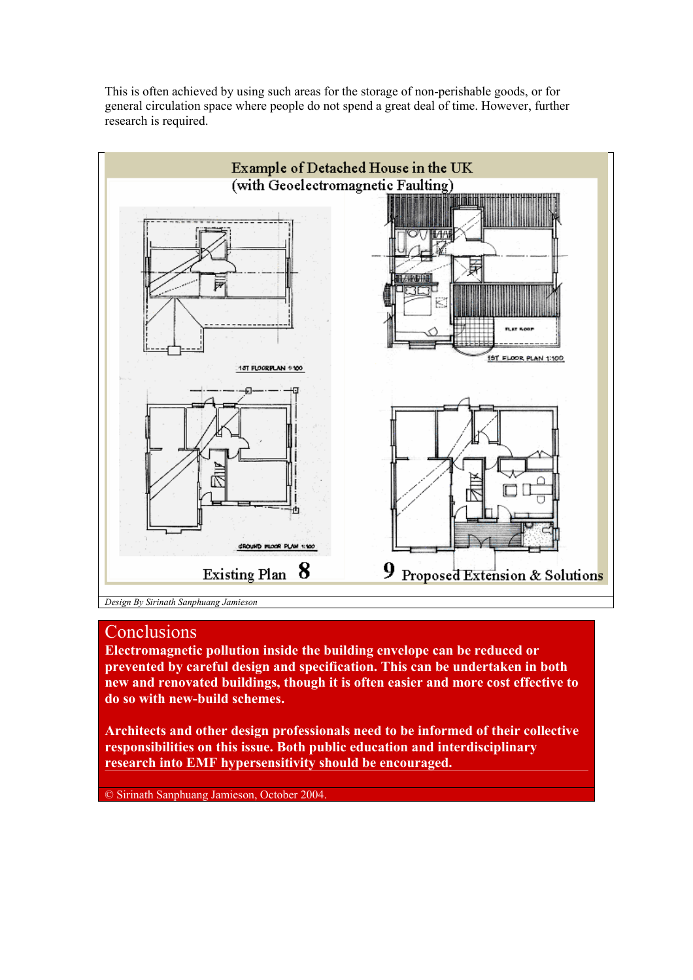

This is often achieved by using such areas for the storage of non-perishable goods, or for general circulation space where people do not spend a great deal of time. However, further research is required.

## **Conclusions**

**Electromagnetic pollution inside the building envelope can be reduced or prevented by careful design and specification. This can be undertaken in both new and renovated buildings, though it is often easier and more cost effective to do so with new-build schemes.** 

**Architects and other design professionals need to be informed of their collective responsibilities on this issue. Both public education and interdisciplinary research into EMF hypersensitivity should be encouraged.**

© Sirinath Sanphuang Jamieson, October 2004.